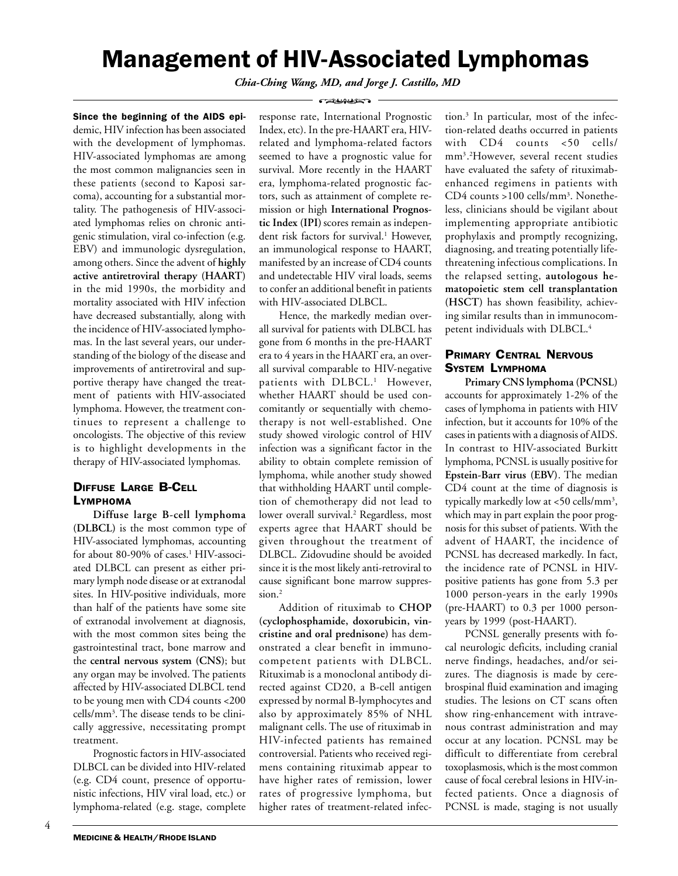# Management of HIV-Associated Lymphomas

*Chia-Ching Wang, MD, and Jorge J. Castillo, MD* **CALCULATION** 

Since the beginning of the AIDS epidemic, HIV infection has been associated with the development of lymphomas. HIV-associated lymphomas are among the most common malignancies seen in these patients (second to Kaposi sarcoma), accounting for a substantial mortality. The pathogenesis of HIV-associated lymphomas relies on chronic antigenic stimulation, viral co-infection (e.g. EBV) and immunologic dysregulation, among others. Since the advent of **highly active antiretroviral therapy (HAART)** in the mid 1990s, the morbidity and mortality associated with HIV infection have decreased substantially, along with the incidence of HIV-associated lymphomas. In the last several years, our understanding of the biology of the disease and improvements of antiretroviral and supportive therapy have changed the treatment of patients with HIV-associated lymphoma. However, the treatment continues to represent a challenge to oncologists. The objective of this review is to highlight developments in the therapy of HIV-associated lymphomas.

# DIFFUSE LARGE B-CELL LYMPHOMA

**Diffuse large B-cell lymphoma (DLBCL)** is the most common type of HIV-associated lymphomas, accounting for about 80-90% of cases.1 HIV-associated DLBCL can present as either primary lymph node disease or at extranodal sites. In HIV-positive individuals, more than half of the patients have some site of extranodal involvement at diagnosis, with the most common sites being the gastrointestinal tract, bone marrow and the **central nervous system (CNS)**; but any organ may be involved. The patients affected by HIV-associated DLBCL tend to be young men with CD4 counts <200 cells/mm3 . The disease tends to be clinically aggressive, necessitating prompt treatment.

Prognostic factors in HIV-associated DLBCL can be divided into HIV-related (e.g. CD4 count, presence of opportunistic infections, HIV viral load, etc.) or lymphoma-related (e.g. stage, complete response rate, International Prognostic Index, etc). In the pre-HAART era, HIVrelated and lymphoma-related factors seemed to have a prognostic value for survival. More recently in the HAART era, lymphoma-related prognostic factors, such as attainment of complete remission or high **International Prognostic Index (IPI)** scores remain as independent risk factors for survival.1 However, an immunological response to HAART, manifested by an increase of CD4 counts and undetectable HIV viral loads, seems to confer an additional benefit in patients with HIV-associated DLBCL.

Hence, the markedly median overall survival for patients with DLBCL has gone from 6 months in the pre-HAART era to 4 years in the HAART era, an overall survival comparable to HIV-negative patients with DLBCL.<sup>1</sup> However, whether HAART should be used concomitantly or sequentially with chemotherapy is not well-established. One study showed virologic control of HIV infection was a significant factor in the ability to obtain complete remission of lymphoma, while another study showed that withholding HAART until completion of chemotherapy did not lead to lower overall survival.2 Regardless, most experts agree that HAART should be given throughout the treatment of DLBCL. Zidovudine should be avoided since it is the most likely anti-retroviral to cause significant bone marrow suppression.<sup>2</sup>

Addition of rituximab to **CHOP (cyclophosphamide, doxorubicin, vincristine and oral prednisone)** has demonstrated a clear benefit in immunocompetent patients with DLBCL. Rituximab is a monoclonal antibody directed against CD20, a B-cell antigen expressed by normal B-lymphocytes and also by approximately 85% of NHL malignant cells. The use of rituximab in HIV-infected patients has remained controversial. Patients who received regimens containing rituximab appear to have higher rates of remission, lower rates of progressive lymphoma, but higher rates of treatment-related infection.3 In particular, most of the infection-related deaths occurred in patients with CD4 counts <50 cells/ mm3. 2 However, several recent studies have evaluated the safety of rituximabenhanced regimens in patients with CD4 counts >100 cells/mm3. Nonetheless, clinicians should be vigilant about implementing appropriate antibiotic prophylaxis and promptly recognizing, diagnosing, and treating potentially lifethreatening infectious complications. In the relapsed setting, **autologous hematopoietic stem cell transplantation (HSCT)** has shown feasibility, achieving similar results than in immunocompetent individuals with DLBCL.4

# PRIMARY CENTRAL NERVOUS SYSTEM LYMPHOMA

**Primary CNS lymphoma (PCNSL)** accounts for approximately 1-2% of the cases of lymphoma in patients with HIV infection, but it accounts for 10% of the cases in patients with a diagnosis of AIDS. In contrast to HIV-associated Burkitt lymphoma, PCNSL is usually positive for **Epstein-Barr virus (EBV)**. The median CD4 count at the time of diagnosis is typically markedly low at  $<50$  cells/mm<sup>3</sup>, which may in part explain the poor prognosis for this subset of patients. With the advent of HAART, the incidence of PCNSL has decreased markedly. In fact, the incidence rate of PCNSL in HIVpositive patients has gone from 5.3 per 1000 person-years in the early 1990s (pre-HAART) to 0.3 per 1000 personyears by 1999 (post-HAART).

PCNSL generally presents with focal neurologic deficits, including cranial nerve findings, headaches, and/or seizures. The diagnosis is made by cerebrospinal fluid examination and imaging studies. The lesions on CT scans often show ring-enhancement with intravenous contrast administration and may occur at any location. PCNSL may be difficult to differentiate from cerebral toxoplasmosis, which is the most common cause of focal cerebral lesions in HIV-infected patients. Once a diagnosis of PCNSL is made, staging is not usually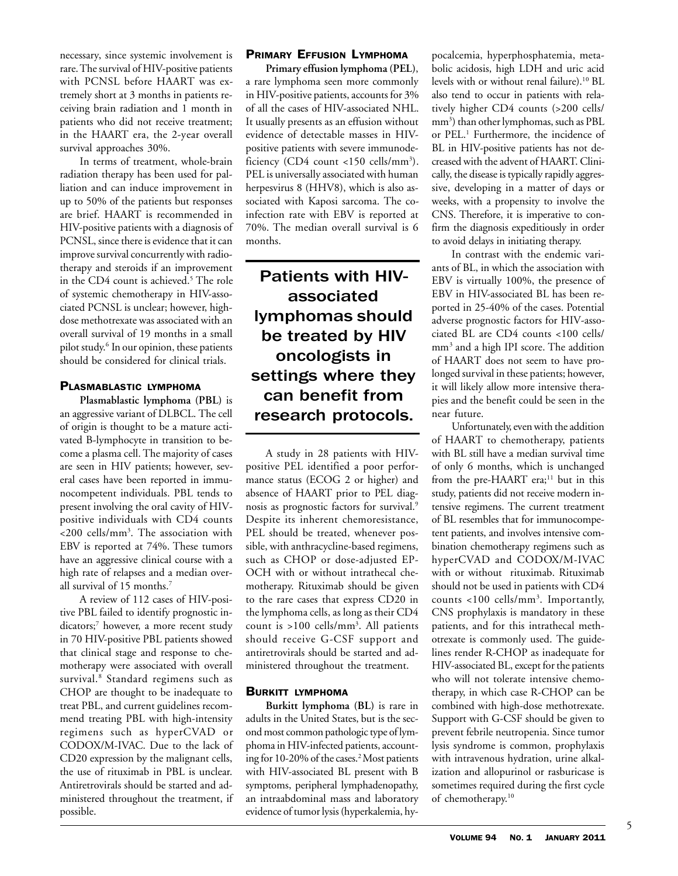necessary, since systemic involvement is rare. The survival of HIV-positive patients with PCNSL before HAART was extremely short at 3 months in patients receiving brain radiation and 1 month in patients who did not receive treatment; in the HAART era, the 2-year overall survival approaches 30%.

In terms of treatment, whole-brain radiation therapy has been used for palliation and can induce improvement in up to 50% of the patients but responses are brief. HAART is recommended in HIV-positive patients with a diagnosis of PCNSL, since there is evidence that it can improve survival concurrently with radiotherapy and steroids if an improvement in the CD4 count is achieved.<sup>5</sup> The role of systemic chemotherapy in HIV-associated PCNSL is unclear; however, highdose methotrexate was associated with an overall survival of 19 months in a small pilot study.6 In our opinion, these patients should be considered for clinical trials.

# PLASMABLASTIC LYMPHOMA

**Plasmablastic lymphoma (PBL)** is an aggressive variant of DLBCL. The cell of origin is thought to be a mature activated B-lymphocyte in transition to become a plasma cell. The majority of cases are seen in HIV patients; however, several cases have been reported in immunocompetent individuals. PBL tends to present involving the oral cavity of HIVpositive individuals with CD4 counts <200 cells/mm3 . The association with EBV is reported at 74%. These tumors have an aggressive clinical course with a high rate of relapses and a median overall survival of 15 months.7

A review of 112 cases of HIV-positive PBL failed to identify prognostic indicators;7 however, a more recent study in 70 HIV-positive PBL patients showed that clinical stage and response to chemotherapy were associated with overall survival.8 Standard regimens such as CHOP are thought to be inadequate to treat PBL, and current guidelines recommend treating PBL with high-intensity regimens such as hyperCVAD or CODOX/M-IVAC. Due to the lack of CD20 expression by the malignant cells, the use of rituximab in PBL is unclear. Antiretrovirals should be started and administered throughout the treatment, if possible.

# PRIMARY EFFUSION LYMPHOMA

**Primary effusion lymphoma (PEL)**, a rare lymphoma seen more commonly in HIV-positive patients, accounts for 3% of all the cases of HIV-associated NHL. It usually presents as an effusion without evidence of detectable masses in HIVpositive patients with severe immunodeficiency (CD4 count <150 cells/mm<sup>3</sup>). PEL is universally associated with human herpesvirus 8 (HHV8), which is also associated with Kaposi sarcoma. The coinfection rate with EBV is reported at 70%. The median overall survival is 6 months.

Patients with HIVassociated lymphomas should be treated by HIV oncologists in settings where they can benefit from research protocols.

A study in 28 patients with HIVpositive PEL identified a poor performance status (ECOG 2 or higher) and absence of HAART prior to PEL diagnosis as prognostic factors for survival.9 Despite its inherent chemoresistance, PEL should be treated, whenever possible, with anthracycline-based regimens, such as CHOP or dose-adjusted EP-OCH with or without intrathecal chemotherapy. Rituximab should be given to the rare cases that express CD20 in the lymphoma cells, as long as their CD4 count is >100 cells/mm3 . All patients should receive G-CSF support and antiretrovirals should be started and administered throughout the treatment.

### BURKITT LYMPHOMA

**Burkitt lymphoma (BL)** is rare in adults in the United States, but is the second most common pathologic type of lymphoma in HIV-infected patients, accounting for 10-20% of the cases.<sup>2</sup> Most patients with HIV-associated BL present with B symptoms, peripheral lymphadenopathy, an intraabdominal mass and laboratory evidence of tumor lysis (hyperkalemia, hy-

pocalcemia, hyperphosphatemia, metabolic acidosis, high LDH and uric acid levels with or without renal failure).<sup>10</sup> BL also tend to occur in patients with relatively higher CD4 counts (>200 cells/ mm3 ) than other lymphomas, such as PBL or PEL.<sup>1</sup> Furthermore, the incidence of BL in HIV-positive patients has not decreased with the advent of HAART. Clinically, the disease is typically rapidly aggressive, developing in a matter of days or weeks, with a propensity to involve the CNS. Therefore, it is imperative to confirm the diagnosis expeditiously in order to avoid delays in initiating therapy.

In contrast with the endemic variants of BL, in which the association with EBV is virtually 100%, the presence of EBV in HIV-associated BL has been reported in 25-40% of the cases. Potential adverse prognostic factors for HIV-associated BL are CD4 counts <100 cells/ mm3 and a high IPI score. The addition of HAART does not seem to have prolonged survival in these patients; however, it will likely allow more intensive therapies and the benefit could be seen in the near future.

Unfortunately, even with the addition of HAART to chemotherapy, patients with BL still have a median survival time of only 6 months, which is unchanged from the pre-HAART era;<sup>11</sup> but in this study, patients did not receive modern intensive regimens. The current treatment of BL resembles that for immunocompetent patients, and involves intensive combination chemotherapy regimens such as hyperCVAD and CODOX/M-IVAC with or without rituximab. Rituximab should not be used in patients with CD4 counts <100 cells/mm<sup>3</sup>. Importantly, CNS prophylaxis is mandatory in these patients, and for this intrathecal methotrexate is commonly used. The guidelines render R-CHOP as inadequate for HIV-associated BL, except for the patients who will not tolerate intensive chemotherapy, in which case R-CHOP can be combined with high-dose methotrexate. Support with G-CSF should be given to prevent febrile neutropenia. Since tumor lysis syndrome is common, prophylaxis with intravenous hydration, urine alkalization and allopurinol or rasburicase is sometimes required during the first cycle of chemotherapy.<sup>10</sup>